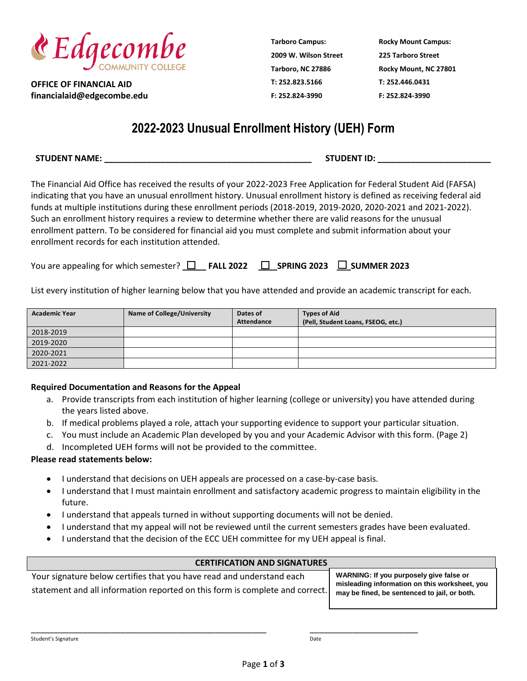

**OFFICE OF FINANCIAL AID financialaid@edgecombe.edu** **Tarboro Campus: 2009 W. Wilson Street Tarboro, NC 27886 T: 252.823.5166 F: 252.824-3990**

**Rocky Mount Campus: 225 Tarboro Street Rocky Mount, NC 27801 T: 252.446.0431 F: 252.824-3990**

# **2022-2023 Unusual Enrollment History (UEH) Form**

**STUDENT NAME: \_\_\_\_\_\_\_\_\_\_\_\_\_\_\_\_\_\_\_\_\_\_\_\_\_\_\_\_\_\_\_\_\_\_\_\_\_\_\_\_\_\_\_\_ STUDENT ID: \_\_\_\_\_\_\_\_\_\_\_\_\_\_\_\_\_\_\_\_\_\_\_\_**

The Financial Aid Office has received the results of your 2022-2023 Free Application for Federal Student Aid (FAFSA) indicating that you have an unusual enrollment history. Unusual enrollment history is defined as receiving federal aid funds at multiple institutions during these enrollment periods (2018-2019, 2019-2020, 2020-2021 and 2021-2022). Such an enrollment history requires a review to determine whether there are valid reasons for the unusual enrollment pattern. To be considered for financial aid you must complete and submit information about your enrollment records for each institution attended.

| You are appealing for which semester? $\square$ FALL 2022 $\square$ SPRING 2023 $\square$ SUMMER 2023 |  |  |  |  |  |
|-------------------------------------------------------------------------------------------------------|--|--|--|--|--|
|-------------------------------------------------------------------------------------------------------|--|--|--|--|--|

List every institution of higher learning below that you have attended and provide an academic transcript for each.

| <b>Academic Year</b> | <b>Name of College/University</b> | Dates of<br>Attendance | <b>Types of Aid</b><br>(Pell, Student Loans, FSEOG, etc.) |
|----------------------|-----------------------------------|------------------------|-----------------------------------------------------------|
| 2018-2019            |                                   |                        |                                                           |
| 2019-2020            |                                   |                        |                                                           |
| 2020-2021            |                                   |                        |                                                           |
| 2021-2022            |                                   |                        |                                                           |

#### **Required Documentation and Reasons for the Appeal**

- a. Provide transcripts from each institution of higher learning (college or university) you have attended during the years listed above.
- b. If medical problems played a role, attach your supporting evidence to support your particular situation.
- c. You must include an Academic Plan developed by you and your Academic Advisor with this form. (Page 2)
- d. Incompleted UEH forms will not be provided to the committee.

### **Please read statements below:**

- I understand that decisions on UEH appeals are processed on a case-by-case basis.
- I understand that I must maintain enrollment and satisfactory academic progress to maintain eligibility in the future.
- I understand that appeals turned in without supporting documents will not be denied.
- I understand that my appeal will not be reviewed until the current semesters grades have been evaluated.
- I understand that the decision of the ECC UEH committee for my UEH appeal is final.

# **CERTIFICATION AND SIGNATURES**

Your signature below certifies that you have read and understand each statement and all information reported on this form is complete and correct.

\_\_\_\_\_\_\_\_\_\_\_\_\_\_\_\_\_\_\_\_\_\_\_\_\_\_\_\_\_\_\_\_\_\_\_\_\_\_\_\_\_\_\_\_\_\_\_\_\_\_ \_\_\_\_\_\_\_\_\_\_\_\_\_\_\_\_\_\_\_\_\_\_\_

**WARNING: If you purposely give false or misleading information on this worksheet, you may be fined, be sentenced to jail, or both.**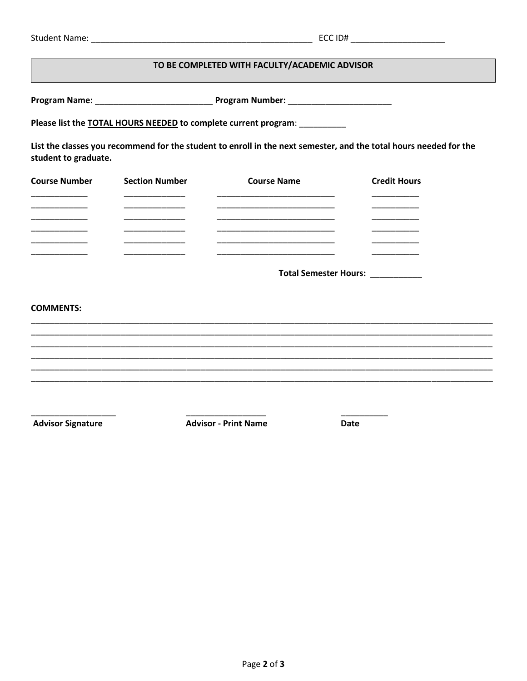| <b>Student Name:</b> |  |
|----------------------|--|
|----------------------|--|

# TO BE COMPLETED WITH FACULTY/ACADEMIC ADVISOR

Please list the TOTAL HOURS NEEDED to complete current program: \_\_\_\_\_\_\_\_\_\_

List the classes you recommend for the student to enroll in the next semester, and the total hours needed for the student to graduate.

| <b>Course Number</b> | <b>Section Number</b> | <b>Course Name</b> | <b>Credit Hours</b> |
|----------------------|-----------------------|--------------------|---------------------|
|                      |                       |                    |                     |
|                      |                       |                    |                     |
|                      |                       |                    |                     |
|                      |                       |                    |                     |
|                      |                       |                    |                     |
|                      |                       |                    |                     |

Total Semester Hours: \_\_\_\_\_\_\_\_\_\_\_

**COMMENTS:** 

**Advisor Signature** 

**Advisor - Print Name** 

Date